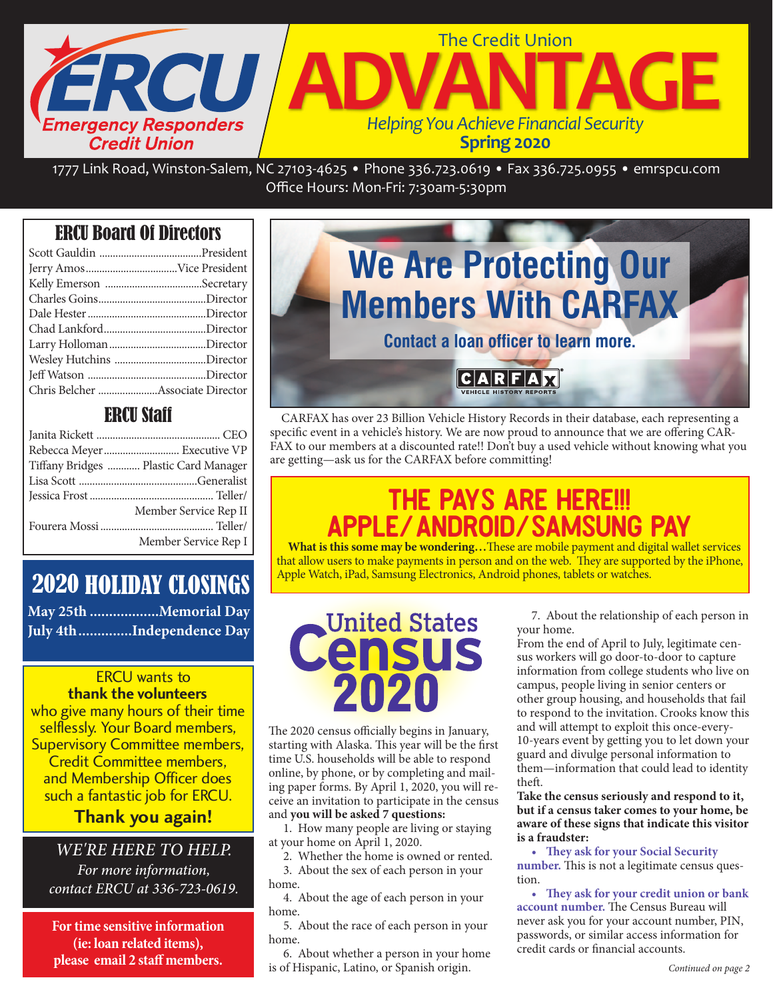

Office Hours: Mon‐Fri: 7:30am‐5:30pm

### ERCU Board Of Directors

### ERCU Staff

| Rebecca Meyer Executive VP            |
|---------------------------------------|
| Tiffany Bridges  Plastic Card Manager |
|                                       |
|                                       |
| Member Service Rep II                 |
|                                       |
| Member Service Rep I                  |

## 2020 HOLIDAY CLOSINGS

**May 25th ..................Memorial Day July 4th..............Independence Day**

### ERCU wants to

**thank the volunteers** who give many hours of their time selflessly. Your Board members, Supervisory Committee members, Credit Committee members, and Membership Officer does such a fantastic job for ERCU.

### **Thank you again!**

WE'RE HERE TO HELP. For more information, contact ERCU at 336-723-0619.

**For time sensitive information (ie: loan related items), please email 2 staff members.**



CARFAX has over 23 Billion Vehicle History Records in their database, each representing a specific event in a vehicle's history. We are now proud to announce that we are offering CAR-FAX to our members at a discounted rate!! Don't buy a used vehicle without knowing what you are getting—ask us for the CARFAX before committing!

## THE PAYS ARE HERE!!! Apple/Android/Samsung PAY

 **What is this some may be wondering…**These are mobile payment and digital wallet services that allow users to make payments in person and on the web. They are supported by the iPhone, Apple Watch, iPad, Samsung Electronics, Android phones, tablets or watches.

# United States

The 2020 census officially begins in January, starting with Alaska. This year will be the first time U.S. households will be able to respond online, by phone, or by completing and mailing paper forms. By April 1, 2020, you will receive an invitation to participate in the census and **you will be asked 7 questions:**

 1. How many people are living or staying at your home on April 1, 2020.

2. Whether the home is owned or rented.

 3. About the sex of each person in your home.

 4. About the age of each person in your home.

 5. About the race of each person in your home.

 6. About whether a person in your home is of Hispanic, Latino, or Spanish origin.

 7. About the relationship of each person in your home.

From the end of April to July, legitimate census workers will go door-to-door to capture information from college students who live on campus, people living in senior centers or other group housing, and households that fail to respond to the invitation. Crooks know this and will attempt to exploit this once-every-10-years event by getting you to let down your guard and divulge personal information to them—information that could lead to identity theft.

**Take the census seriously and respond to it, but if a census taker comes to your home, be aware of these signs that indicate this visitor is a fraudster:**

 **• They ask for your Social Security number.** This is not a legitimate census question.

 **• They ask for your credit union or bank account number.** The Census Bureau will never ask you for your account number, PIN, passwords, or similar access information for credit cards or financial accounts.